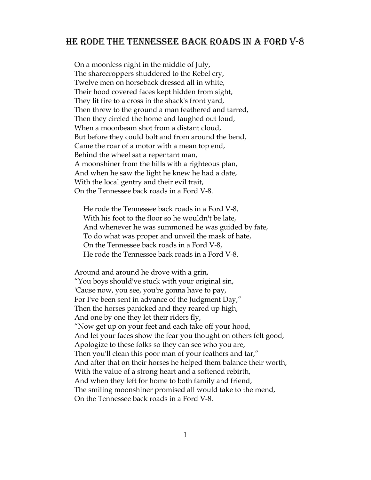## He rode The TENNESSEE BACK ROADS IN A FORD V-8

 On a moonless night in the middle of July, The sharecroppers shuddered to the Rebel cry, Twelve men on horseback dressed all in white, Their hood covered faces kept hidden from sight, They lit fire to a cross in the shack's front yard, Then threw to the ground a man feathered and tarred, Then they circled the home and laughed out loud, When a moonbeam shot from a distant cloud, But before they could bolt and from around the bend, Came the roar of a motor with a mean top end, Behind the wheel sat a repentant man, A moonshiner from the hills with a righteous plan, And when he saw the light he knew he had a date, With the local gentry and their evil trait, On the Tennessee back roads in a Ford V-8.

 He rode the Tennessee back roads in a Ford V-8, With his foot to the floor so he wouldn't be late, And whenever he was summoned he was guided by fate, To do what was proper and unveil the mask of hate, On the Tennessee back roads in a Ford V-8, He rode the Tennessee back roads in a Ford V-8.

 Around and around he drove with a grin, "You boys should've stuck with your original sin, 'Cause now, you see, you're gonna have to pay, For I've been sent in advance of the Judgment Day," Then the horses panicked and they reared up high, And one by one they let their riders fly, "Now get up on your feet and each take off your hood, And let your faces show the fear you thought on others felt good, Apologize to these folks so they can see who you are, Then you'll clean this poor man of your feathers and tar," And after that on their horses he helped them balance their worth, With the value of a strong heart and a softened rebirth, And when they left for home to both family and friend, The smiling moonshiner promised all would take to the mend, On the Tennessee back roads in a Ford V-8.